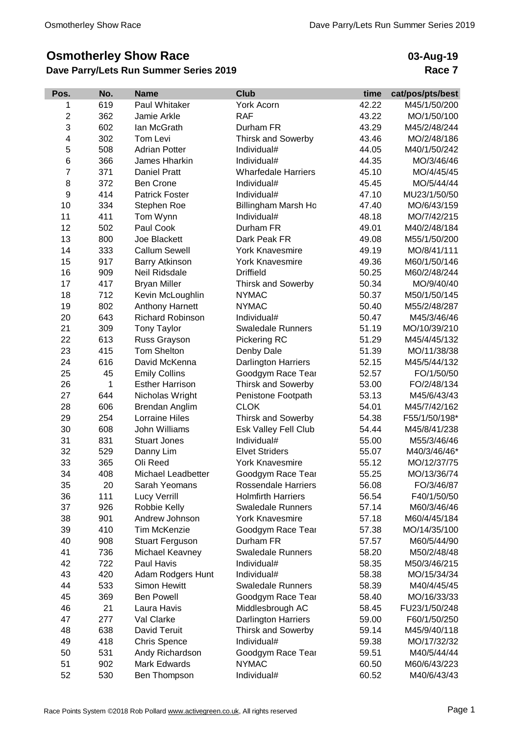## **Osmotherley Show Race**

## **Dave Parry/Lets Run Summer Series 2019**

**03-Aug-19 Race 7**

| Pos.           | No. | <b>Name</b>             | <b>Club</b>                | time  | cat/pos/pts/best |
|----------------|-----|-------------------------|----------------------------|-------|------------------|
| 1              | 619 | Paul Whitaker           | York Acorn                 | 42.22 | M45/1/50/200     |
| $\overline{2}$ | 362 | Jamie Arkle             | <b>RAF</b>                 | 43.22 | MO/1/50/100      |
| 3              | 602 | lan McGrath             | Durham FR                  | 43.29 | M45/2/48/244     |
| 4              | 302 | Tom Levi                | <b>Thirsk and Sowerby</b>  | 43.46 | MO/2/48/186      |
| 5              | 508 | <b>Adrian Potter</b>    | Individual#                | 44.05 | M40/1/50/242     |
| 6              | 366 | James Hharkin           | Individual#                | 44.35 | MO/3/46/46       |
| 7              | 371 | Daniel Pratt            | <b>Wharfedale Harriers</b> | 45.10 | MO/4/45/45       |
| 8              | 372 | <b>Ben Crone</b>        | Individual#                | 45.45 | MO/5/44/44       |
| 9              | 414 | <b>Patrick Foster</b>   | Individual#                | 47.10 | MU23/1/50/50     |
| 10             | 334 | Stephen Roe             | Billingham Marsh Ho        | 47.40 | MO/6/43/159      |
| 11             | 411 | Tom Wynn                | Individual#                | 48.18 | MO/7/42/215      |
| 12             | 502 | Paul Cook               | Durham FR                  | 49.01 | M40/2/48/184     |
| 13             | 800 | Joe Blackett            | Dark Peak FR               | 49.08 | M55/1/50/200     |
| 14             | 333 | <b>Callum Sewell</b>    | <b>York Knavesmire</b>     | 49.19 | MO/8/41/111      |
| 15             | 917 | <b>Barry Atkinson</b>   | <b>York Knavesmire</b>     | 49.36 | M60/1/50/146     |
| 16             | 909 | Neil Ridsdale           | <b>Driffield</b>           | 50.25 | M60/2/48/244     |
| 17             | 417 | <b>Bryan Miller</b>     | <b>Thirsk and Sowerby</b>  | 50.34 | MO/9/40/40       |
| 18             | 712 | Kevin McLoughlin        | <b>NYMAC</b>               | 50.37 | M50/1/50/145     |
| 19             | 802 | Anthony Harnett         | <b>NYMAC</b>               | 50.40 | M55/2/48/287     |
| 20             | 643 | <b>Richard Robinson</b> | Individual#                | 50.47 | M45/3/46/46      |
| 21             | 309 | <b>Tony Taylor</b>      | <b>Swaledale Runners</b>   | 51.19 | MO/10/39/210     |
| 22             | 613 | Russ Grayson            | Pickering RC               | 51.29 | M45/4/45/132     |
| 23             | 415 | <b>Tom Shelton</b>      | Denby Dale                 | 51.39 | MO/11/38/38      |
| 24             | 616 | David McKenna           | Darlington Harriers        | 52.15 | M45/5/44/132     |
| 25             | 45  | <b>Emily Collins</b>    | Goodgym Race Tear          | 52.57 | FO/1/50/50       |
| 26             | 1   | <b>Esther Harrison</b>  | <b>Thirsk and Sowerby</b>  | 53.00 | FO/2/48/134      |
| 27             | 644 | Nicholas Wright         | Penistone Footpath         | 53.13 | M45/6/43/43      |
| 28             | 606 | <b>Brendan Anglim</b>   | <b>CLOK</b>                | 54.01 | M45/7/42/162     |
| 29             | 254 | <b>Lorraine Hiles</b>   | Thirsk and Sowerby         | 54.38 | F55/1/50/198*    |
| 30             | 608 | John Williams           | Esk Valley Fell Club       | 54.44 | M45/8/41/238     |
| 31             | 831 | <b>Stuart Jones</b>     | Individual#                | 55.00 | M55/3/46/46      |
| 32             | 529 | Danny Lim               | <b>Elvet Striders</b>      | 55.07 | M40/3/46/46*     |
| 33             | 365 | Oli Reed                | <b>York Knavesmire</b>     | 55.12 | MO/12/37/75      |
| 34             | 408 | Michael Leadbetter      | Goodgym Race Tear          | 55.25 | MO/13/36/74      |
| 35             | 20  | Sarah Yeomans           | <b>Rossendale Harriers</b> | 56.08 | FO/3/46/87       |
| 36             | 111 | <b>Lucy Verrill</b>     | <b>Holmfirth Harriers</b>  | 56.54 | F40/1/50/50      |
| 37             | 926 | Robbie Kelly            | <b>Swaledale Runners</b>   | 57.14 | M60/3/46/46      |
| 38             | 901 | Andrew Johnson          | <b>York Knavesmire</b>     | 57.18 | M60/4/45/184     |
| 39             | 410 | <b>Tim McKenzie</b>     | Goodgym Race Tear          | 57.38 | MO/14/35/100     |
| 40             | 908 | <b>Stuart Ferguson</b>  | Durham FR                  | 57.57 | M60/5/44/90      |
| 41             | 736 | Michael Keavney         | <b>Swaledale Runners</b>   | 58.20 | M50/2/48/48      |
| 42             | 722 | Paul Havis              | Individual#                | 58.35 | M50/3/46/215     |
| 43             | 420 |                         | Individual#                | 58.38 |                  |
|                |     | Adam Rodgers Hunt       |                            |       | MO/15/34/34      |
| 44             | 533 | Simon Hewitt            | <b>Swaledale Runners</b>   | 58.39 | M40/4/45/45      |
| 45             | 369 | <b>Ben Powell</b>       | Goodgym Race Tear          | 58.40 | MO/16/33/33      |
| 46             | 21  | Laura Havis             | Middlesbrough AC           | 58.45 | FU23/1/50/248    |
| 47             | 277 | Val Clarke              | <b>Darlington Harriers</b> | 59.00 | F60/1/50/250     |
| 48             | 638 | David Teruit            | <b>Thirsk and Sowerby</b>  | 59.14 | M45/9/40/118     |
| 49             | 418 | <b>Chris Spence</b>     | Individual#                | 59.38 | MO/17/32/32      |
| 50             | 531 | Andy Richardson         | Goodgym Race Tear          | 59.51 | M40/5/44/44      |
| 51             | 902 | Mark Edwards            | <b>NYMAC</b>               | 60.50 | M60/6/43/223     |
| 52             | 530 | Ben Thompson            | Individual#                | 60.52 | M40/6/43/43      |